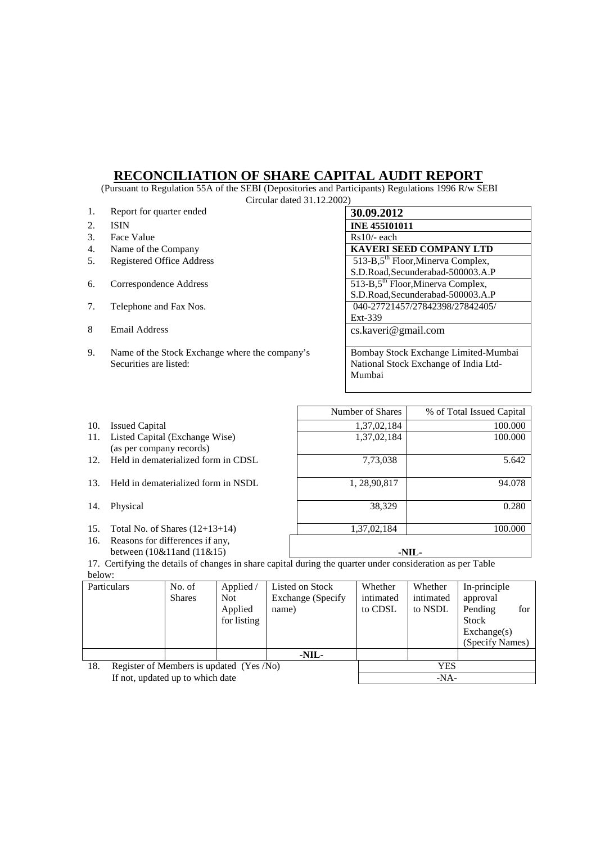## **RECONCILIATION OF SHARE CAPITAL AUDIT REPORT**

 (Pursuant to Regulation 55A of the SEBI (Depositories and Participants) Regulations 1996 R/w SEBI Circular dated 31.12.2002)

|    | CIICUIAI GALCU OTALAZIOLA                      |                                               |  |  |  |  |  |  |
|----|------------------------------------------------|-----------------------------------------------|--|--|--|--|--|--|
| 1. | Report for quarter ended                       | 30.09.2012                                    |  |  |  |  |  |  |
| 2. | <b>ISIN</b>                                    | <b>INE 455I01011</b>                          |  |  |  |  |  |  |
| 3. | Face Value                                     | $Rs10/-$ each                                 |  |  |  |  |  |  |
| 4. | Name of the Company                            | <b>KAVERI SEED COMPANY LTD</b>                |  |  |  |  |  |  |
| 5. | <b>Registered Office Address</b>               | 513-B,5 <sup>th</sup> Floor, Minerva Complex, |  |  |  |  |  |  |
|    |                                                | S.D.Road, Secunderabad-500003.A.P             |  |  |  |  |  |  |
| 6. | Correspondence Address                         | 513-B,5 <sup>th</sup> Floor, Minerva Complex, |  |  |  |  |  |  |
|    |                                                | S.D.Road, Secunderabad-500003.A.P             |  |  |  |  |  |  |
| 7. | Telephone and Fax Nos.                         | 040-27721457/27842398/27842405/               |  |  |  |  |  |  |
|    |                                                | Ext-339                                       |  |  |  |  |  |  |
| 8  | Email Address                                  | cs.kaveri@gmail.com                           |  |  |  |  |  |  |
|    |                                                |                                               |  |  |  |  |  |  |
| 9. | Name of the Stock Exchange where the company's | Bombay Stock Exchange Limited-Mumbai          |  |  |  |  |  |  |
|    | Securities are listed:                         | National Stock Exchange of India Ltd-         |  |  |  |  |  |  |
|    |                                                | Mumbai                                        |  |  |  |  |  |  |
|    |                                                |                                               |  |  |  |  |  |  |

- 
- 10. Issued Capital 1.37,02,184 100.000<br>11. Listed Capital (Exchange Wise) 1,37,02,184 100.000 11. Listed Capital (Exchange Wise) (as per company records)
- 12. Held in dematerialized form in CDSL 7,73,038 5.642
- 13. Held in dematerialized form in NSDL 1, 28,90,817
- 
- 
- 16. Reasons for differences if any,

94.078 14. Physical 38,329 0.280 15. Total No. of Shares (12+13+14) 1,37,02,184 100.000 1,37,02,184 between (10&11and (11&15) **-NIL-**

1,37,02,184

Number of Shares \, % of Total Issued Capital

17. Certifying the details of changes in share capital during the quarter under consideration as per Table below:

| Particulars                                     |  | No. of        | Applied /   | Listed on Stock    | Whether   | Whether   | In-principle         |
|-------------------------------------------------|--|---------------|-------------|--------------------|-----------|-----------|----------------------|
|                                                 |  | <b>Shares</b> | Not.        | Exchange (Specify) | intimated | intimated | approval             |
|                                                 |  |               | Applied     | name)              | to CDSL   | to NSDL   | for<br>Pending       |
|                                                 |  |               | for listing |                    |           |           | Stock                |
|                                                 |  |               |             |                    |           |           | $\text{Exchange}(s)$ |
|                                                 |  |               |             |                    |           |           | (Specify Names)      |
|                                                 |  |               |             | -NIL-              |           |           |                      |
| 18.<br>Register of Members is updated (Yes /No) |  |               |             | YES                |           |           |                      |
| If not, updated up to which date                |  |               |             |                    | $-NA-$    |           |                      |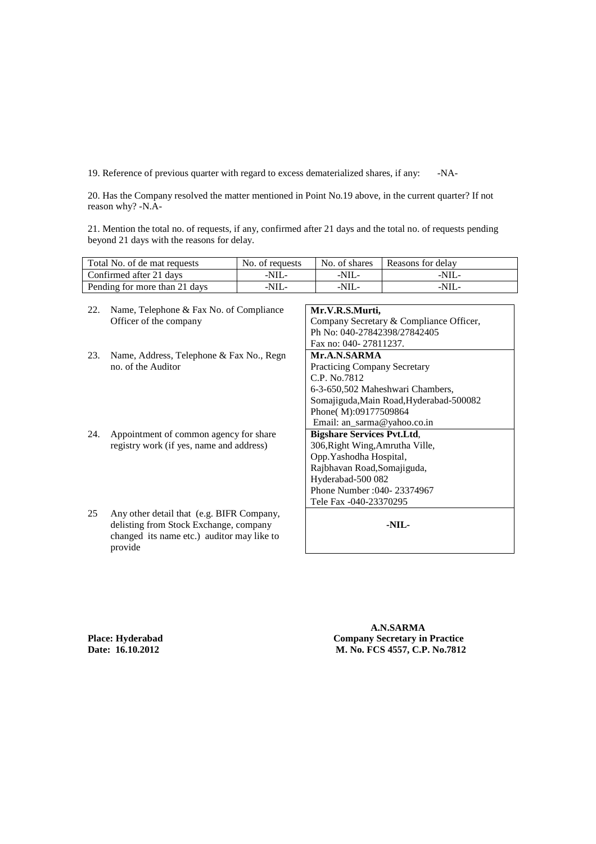19. Reference of previous quarter with regard to excess dematerialized shares, if any: -NA-

20. Has the Company resolved the matter mentioned in Point No.19 above, in the current quarter? If not reason why? -N.A-

21. Mention the total no. of requests, if any, confirmed after 21 days and the total no. of requests pending beyond 21 days with the reasons for delay.

| Total No. of de mat requests  | No. of requests | No. of shares | Reasons for delay |
|-------------------------------|-----------------|---------------|-------------------|
| Confirmed after 21 days       | -NIL-           | $-NIL-$       | -NIL-             |
| Pending for more than 21 days | $-NIL$          | $-NIL-$       | -NIL-             |

22. Name, Telephone & Fax No. of Compliance Officer of the company **Mr.V.R.S.Murti,**  Company Secretary & Compliance Officer, Ph No: 040-27842398/27842405 Fax no: 040- 27811237. 23. Name, Address, Telephone & Fax No., Regn no. of the Auditor **Mr.A.N.SARMA**  Practicing Company Secretary C.P. No.7812 6-3-650,502 Maheshwari Chambers, Somajiguda,Main Road,Hyderabad-500082 Phone( M):09177509864 Email: an\_sarma@yahoo.co.in 24. Appointment of common agency for share registry work (if yes, name and address) **Bigshare Services Pvt.Ltd**, 306,Right Wing,Amrutha Ville, Opp.Yashodha Hospital, Rajbhavan Road,Somajiguda, Hyderabad-500 082 Phone Number :040- 23374967 Tele Fax -040-23370295 25 Any other detail that (e.g. BIFR Company, delisting from Stock Exchange, company changed its name etc.) auditor may like to provide **-NIL-** 

 **A.N.SARMA Place: Hyderabad Company Secretary in Practice Date: 16.10.2012 M. No. FCS 4557, C.P. No.7812**